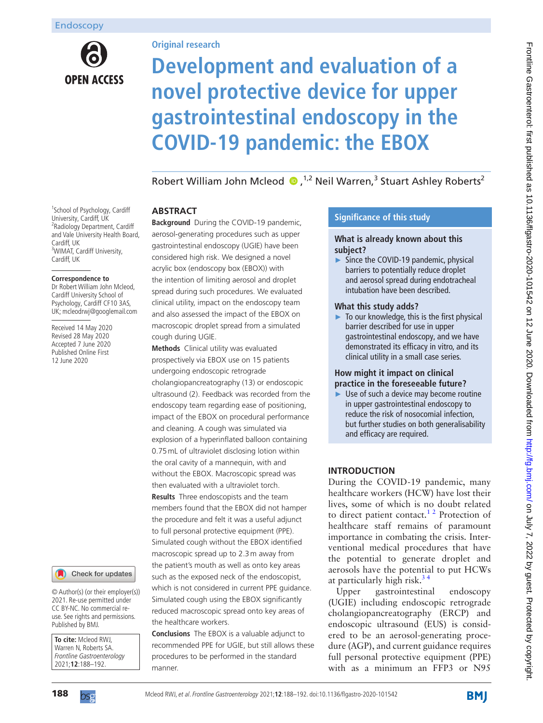

## **Original research**

# **Development and evaluation of a novel protective device for upper gastrointestinal endoscopy in the COVID-19 pandemic: the EBOX**

RobertWilliam John Mcleod (D, <sup>1,2</sup> Neil Warren,<sup>3</sup> Stuart Ashley Roberts<sup>2</sup>

#### <sup>1</sup>School of Psychology, Cardiff University, Cardiff, UK <sup>2</sup> Radiology Department, Cardiff and Vale University Health Board, Cardiff, UK <sup>3</sup>WIMAT, Cardiff University, Cardiff, UK

#### **Correspondence to**

Dr Robert William John Mcleod, Cardiff University School of Psychology, Cardiff CF10 3AS, UK; mcleodrwj@googlemail.com

Received 14 May 2020 Revised 28 May 2020 Accepted 7 June 2020 Published Online First 12 June 2020



© Author(s) (or their employer(s)) 2021. Re-use permitted under CC BY-NC. No commercial reuse. See rights and permissions. Published by BMJ.

**To cite:** Mcleod RWJ, Warren N, Roberts SA. Frontline Gastroenterology 2021;**12**:188–192.

## **Abstract**

**Background** During the COVID-19 pandemic, aerosol-generating procedures such as upper gastrointestinal endoscopy (UGIE) have been considered high risk. We designed a novel acrylic box (endoscopy box (EBOX)) with the intention of limiting aerosol and droplet spread during such procedures. We evaluated clinical utility, impact on the endoscopy team and also assessed the impact of the EBOX on macroscopic droplet spread from a simulated cough during UGIE.

**Methods** Clinical utility was evaluated prospectively via EBOX use on 15 patients undergoing endoscopic retrograde cholangiopancreatography (13) or endoscopic ultrasound (2). Feedback was recorded from the endoscopy team regarding ease of positioning, impact of the EBOX on procedural performance and cleaning. A cough was simulated via explosion of a hyperinflated balloon containing 0.75mL of ultraviolet disclosing lotion within the oral cavity of a mannequin, with and without the EBOX. Macroscopic spread was then evaluated with a ultraviolet torch. **Results** Three endoscopists and the team members found that the EBOX did not hamper the procedure and felt it was a useful adjunct to full personal protective equipment (PPE). Simulated cough without the EBOX identified macroscopic spread up to 2.3m away from the patient's mouth as well as onto key areas such as the exposed neck of the endoscopist, which is not considered in current PPE guidance. Simulated cough using the EBOX significantly reduced macroscopic spread onto key areas of the healthcare workers.

**Conclusions** The EBOX is a valuable adjunct to recommended PPE for UGIE, but still allows these procedures to be performed in the standard manner.

## **Significance of this study**

#### **What is already known about this subject?**

Since the COVID-19 pandemic, physical barriers to potentially reduce droplet and aerosol spread during endotracheal intubation have been described.

### **What this study adds?**

► To our knowledge, this is the first physical barrier described for use in upper gastrointestinal endoscopy, and we have demonstrated its efficacy in vitro, and its clinical utility in a small case series.

# **How might it impact on clinical practice in the foreseeable future?**

Use of such a device may become routine in upper gastrointestinal endoscopy to reduce the risk of nosocomial infection, but further studies on both generalisability and efficacy are required.

## **Introduction**

During the COVID-19 pandemic, many healthcare workers (HCW) have lost their lives, some of which is no doubt related to direct patient contact.<sup>12</sup> Protection of healthcare staff remains of paramount importance in combating the crisis. Interventional medical procedures that have the potential to generate droplet and aerosols have the potential to put HCWs at particularly high risk.<sup>34</sup>

Upper gastrointestinal endoscopy (UGIE) including endoscopic retrograde cholangiopancreatography (ERCP) and endoscopic ultrasound (EUS) is considered to be an aerosol-generating procedure (AGP), and current guidance requires full personal protective equipment (PPE) with as a minimum an FFP3 or N95



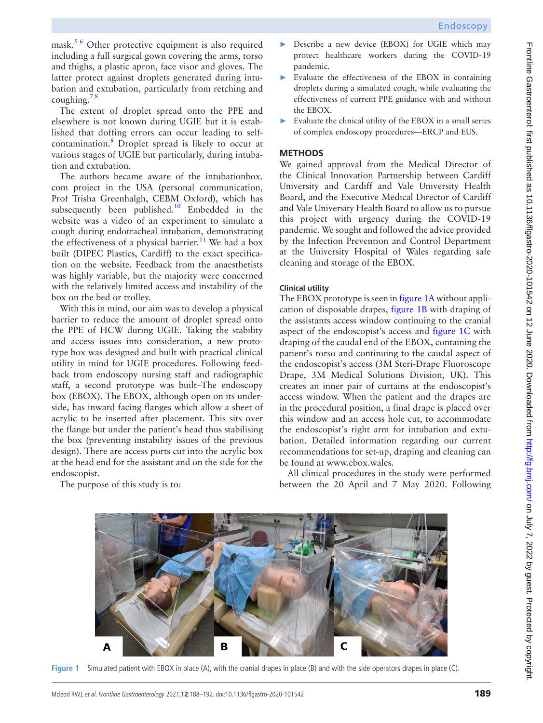mask.<sup>5 6</sup> Other protective equipment is also required including a full surgical gown covering the arms, torso and thighs, a plastic apron, face visor and gloves. The latter protect against droplets generated during intubation and extubation, particularly from retching and coughing. $78$ 

The extent of droplet spread onto the PPE and elsewhere is not known during UGIE but it is established that doffing errors can occur leading to self-contamination.<sup>[9](#page-4-4)</sup> Droplet spread is likely to occur at various stages of UGIE but particularly, during intubation and extubation.

The authors became aware of the intubationbox. com project in the USA (personal communication, Prof Trisha Greenhalgh, CEBM Oxford), which has subsequently been published.<sup>[10](#page-4-5)</sup> Embedded in the website was a video of an experiment to simulate a cough during endotracheal intubation, demonstrating the effectiveness of a physical barrier.<sup>11</sup> We had a box built (DIPEC Plastics, Cardiff) to the exact specification on the website. Feedback from the anaesthetists was highly variable, but the majority were concerned with the relatively limited access and instability of the box on the bed or trolley.

With this in mind, our aim was to develop a physical barrier to reduce the amount of droplet spread onto the PPE of HCW during UGIE. Taking the stability and access issues into consideration, a new prototype box was designed and built with practical clinical utility in mind for UGIE procedures. Following feedback from endoscopy nursing staff and radiographic staff, a second prototype was built–The endoscopy box (EBOX). The EBOX, although open on its underside, has inward facing flanges which allow a sheet of acrylic to be inserted after placement. This sits over the flange but under the patient's head thus stabilising the box (preventing instability issues of the previous design). There are access ports cut into the acrylic box at the head end for the assistant and on the side for the endoscopist.

- ► Describe a new device (EBOX) for UGIE which may protect healthcare workers during the COVID-19 pandemic.
- ► Evaluate the effectiveness of the EBOX in containing droplets during a simulated cough, while evaluating the effectiveness of current PPE guidance with and without the EBOX.
- $\blacktriangleright$  Evaluate the clinical utility of the EBOX in a small series of complex endoscopy procedures—ERCP and EUS.

# **Methods**

We gained approval from the Medical Director of the Clinical Innovation Partnership between Cardiff University and Cardiff and Vale University Health Board, and the Executive Medical Director of Cardiff and Vale University Health Board to allow us to pursue this project with urgency during the COVID-19 pandemic. We sought and followed the advice provided by the Infection Prevention and Control Department at the University Hospital of Wales regarding safe cleaning and storage of the EBOX.

# **Clinical utility**

The EBOX prototype is seen in [figure](#page-1-0) 1A without application of disposable drapes, [figure](#page-1-0) 1B with draping of the assistants access window continuing to the cranial aspect of the endoscopist's access and [figure](#page-1-0) 1C with draping of the caudal end of the EBOX, containing the patient's torso and continuing to the caudal aspect of the endoscopist's access (3M Steri-Drape Fluoroscope Drape, 3M Medical Solutions Division, UK). This creates an inner pair of curtains at the endoscopist's access window. When the patient and the drapes are in the procedural position, a final drape is placed over this window and an access hole cut, to accommodate the endoscopist's right arm for intubation and extubation. Detailed information regarding our current recommendations for set-up, draping and cleaning can be found at [www.ebox.wales.](https://www.ebox.wales/)

All clinical procedures in the study were performed between the 20 April and 7 May 2020. Following

The purpose of this study is to:



<span id="page-1-0"></span>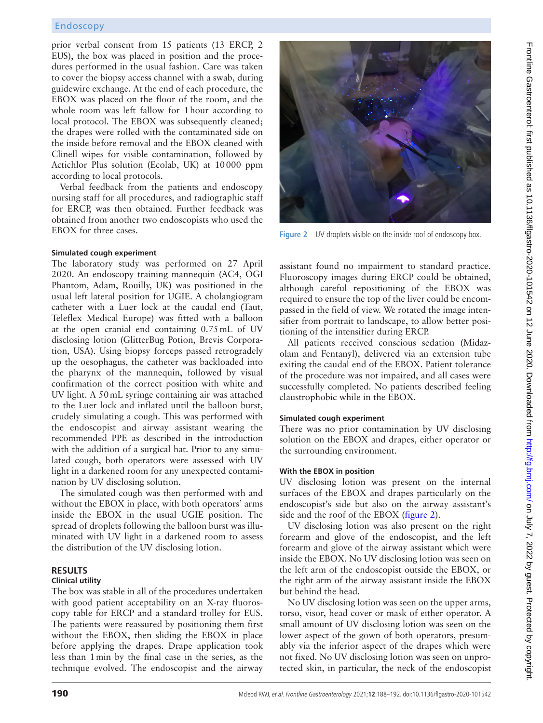## Endoscopy

prior verbal consent from 15 patients (13 ERCP, 2 EUS), the box was placed in position and the procedures performed in the usual fashion. Care was taken to cover the biopsy access channel with a swab, during guidewire exchange. At the end of each procedure, the EBOX was placed on the floor of the room, and the whole room was left fallow for 1hour according to local protocol. The EBOX was subsequently cleaned; the drapes were rolled with the contaminated side on the inside before removal and the EBOX cleaned with Clinell wipes for visible contamination, followed by Actichlor Plus solution (Ecolab, UK) at 10000 ppm according to local protocols.

Verbal feedback from the patients and endoscopy nursing staff for all procedures, and radiographic staff for ERCP, was then obtained. Further feedback was obtained from another two endoscopists who used the EBOX for three cases.

#### **Simulated cough experiment**

The laboratory study was performed on 27 April 2020. An endoscopy training mannequin (AC4, OGI Phantom, Adam, Rouilly, UK) was positioned in the usual left lateral position for UGIE. A cholangiogram catheter with a Luer lock at the caudal end (Taut, Teleflex Medical Europe) was fitted with a balloon at the open cranial end containing 0.75mL of UV disclosing lotion (GlitterBug Potion, Brevis Corporation, USA). Using biopsy forceps passed retrogradely up the oesophagus, the catheter was backloaded into the pharynx of the mannequin, followed by visual confirmation of the correct position with white and UV light. A 50mL syringe containing air was attached to the Luer lock and inflated until the balloon burst, crudely simulating a cough. This was performed with the endoscopist and airway assistant wearing the recommended PPE as described in the introduction with the addition of a surgical hat. Prior to any simulated cough, both operators were assessed with UV light in a darkened room for any unexpected contamination by UV disclosing solution.

The simulated cough was then performed with and without the EBOX in place, with both operators' arms inside the EBOX in the usual UGIE position. The spread of droplets following the balloon burst was illuminated with UV light in a darkened room to assess the distribution of the UV disclosing lotion.

#### **Results Clinical utility**

The box was stable in all of the procedures undertaken with good patient acceptability on an X-ray fluoroscopy table for ERCP and a standard trolley for EUS. The patients were reassured by positioning them first without the EBOX, then sliding the EBOX in place before applying the drapes. Drape application took less than 1min by the final case in the series, as the technique evolved. The endoscopist and the airway



**Figure 2** UV droplets visible on the inside roof of endoscopy box.

<span id="page-2-0"></span>assistant found no impairment to standard practice. Fluoroscopy images during ERCP could be obtained, although careful repositioning of the EBOX was required to ensure the top of the liver could be encompassed in the field of view. We rotated the image intensifier from portrait to landscape, to allow better positioning of the intensifier during ERCP.

All patients received conscious sedation (Midazolam and Fentanyl), delivered via an extension tube exiting the caudal end of the EBOX. Patient tolerance of the procedure was not impaired, and all cases were successfully completed. No patients described feeling claustrophobic while in the EBOX.

### **Simulated cough experiment**

There was no prior contamination by UV disclosing solution on the EBOX and drapes, either operator or the surrounding environment.

### **With the EBOX in position**

UV disclosing lotion was present on the internal surfaces of the EBOX and drapes particularly on the endoscopist's side but also on the airway assistant's side and the roof of the EBOX [\(figure](#page-2-0) 2).

UV disclosing lotion was also present on the right forearm and glove of the endoscopist, and the left forearm and glove of the airway assistant which were inside the EBOX. No UV disclosing lotion was seen on the left arm of the endoscopist outside the EBOX, or the right arm of the airway assistant inside the EBOX but behind the head.

No UV disclosing lotion was seen on the upper arms, torso, visor, head cover or mask of either operator. A small amount of UV disclosing lotion was seen on the lower aspect of the gown of both operators, presumably via the inferior aspect of the drapes which were not fixed. No UV disclosing lotion was seen on unprotected skin, in particular, the neck of the endoscopist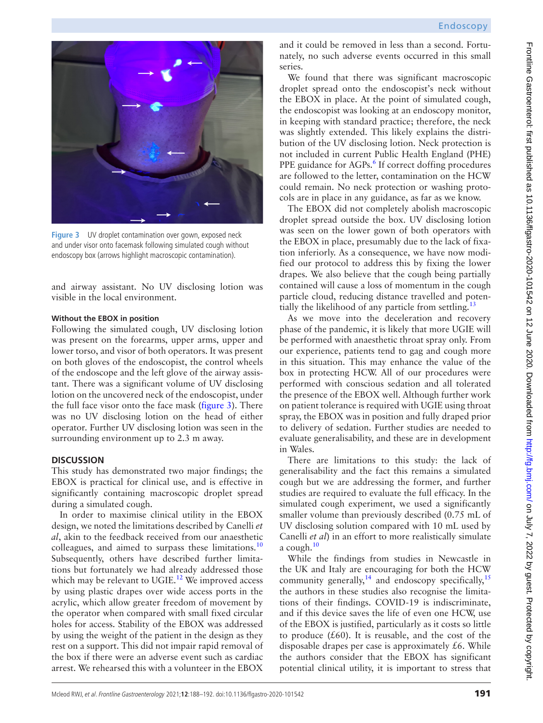

**Figure 3** UV droplet contamination over gown, exposed neck and under visor onto facemask following simulated cough without endoscopy box (arrows highlight macroscopic contamination).

<span id="page-3-0"></span>and airway assistant. No UV disclosing lotion was visible in the local environment.

#### **Without the EBOX in position**

Following the simulated cough, UV disclosing lotion was present on the forearms, upper arms, upper and lower torso, and visor of both operators. It was present on both gloves of the endoscopist, the control wheels of the endoscope and the left glove of the airway assistant. There was a significant volume of UV disclosing lotion on the uncovered neck of the endoscopist, under the full face visor onto the face mask ([figure](#page-3-0) 3). There was no UV disclosing lotion on the head of either operator. Further UV disclosing lotion was seen in the surrounding environment up to 2.3 m away.

## **Discussion**

This study has demonstrated two major findings; the EBOX is practical for clinical use, and is effective in significantly containing macroscopic droplet spread during a simulated cough.

In order to maximise clinical utility in the EBOX design, we noted the limitations described by Canelli *et al*, akin to the feedback received from our anaesthetic colleagues, and aimed to surpass these limitations.<sup>10</sup> Subsequently, others have described further limitations but fortunately we had already addressed those which may be relevant to UGIE.<sup>12</sup> We improved access by using plastic drapes over wide access ports in the acrylic, which allow greater freedom of movement by the operator when compared with small fixed circular holes for access. Stability of the EBOX was addressed by using the weight of the patient in the design as they rest on a support. This did not impair rapid removal of the box if there were an adverse event such as cardiac arrest. We rehearsed this with a volunteer in the EBOX

and it could be removed in less than a second. Fortunately, no such adverse events occurred in this small series.

We found that there was significant macroscopic droplet spread onto the endoscopist's neck without the EBOX in place. At the point of simulated cough, the endoscopist was looking at an endoscopy monitor, in keeping with standard practice; therefore, the neck was slightly extended. This likely explains the distribution of the UV disclosing lotion. Neck protection is not included in current Public Health England (PHE) PPE guidance for AGPs.<sup>[6](#page-4-8)</sup> If correct doffing procedures are followed to the letter, contamination on the HCW could remain. No neck protection or washing protocols are in place in any guidance, as far as we know.

The EBOX did not completely abolish macroscopic droplet spread outside the box. UV disclosing lotion was seen on the lower gown of both operators with the EBOX in place, presumably due to the lack of fixation inferiorly. As a consequence, we have now modified our protocol to address this by fixing the lower drapes. We also believe that the cough being partially contained will cause a loss of momentum in the cough particle cloud, reducing distance travelled and potentially the likelihood of any particle from settling.<sup>13</sup>

As we move into the deceleration and recovery phase of the pandemic, it is likely that more UGIE will be performed with anaesthetic throat spray only. From our experience, patients tend to gag and cough more in this situation. This may enhance the value of the box in protecting HCW. All of our procedures were performed with conscious sedation and all tolerated the presence of the EBOX well. Although further work on patient tolerance is required with UGIE using throat spray, the EBOX was in position and fully draped prior to delivery of sedation. Further studies are needed to evaluate generalisability, and these are in development in Wales.

There are limitations to this study: the lack of generalisability and the fact this remains a simulated cough but we are addressing the former, and further studies are required to evaluate the full efficacy. In the simulated cough experiment, we used a significantly smaller volume than previously described (0.75 mL of UV disclosing solution compared with 10 mL used by Canelli *et al*) in an effort to more realistically simulate a cough. $10$ 

While the findings from studies in Newcastle in the UK and Italy are encouraging for both the HCW community generally,  $14$  and endoscopy specifically,  $15$ the authors in these studies also recognise the limitations of their findings. COVID-19 is indiscriminate, and if this device saves the life of even one HCW, use of the EBOX is justified, particularly as it costs so little to produce  $(£60)$ . It is reusable, and the cost of the disposable drapes per case is approximately  $£6$ . While the authors consider that the EBOX has significant potential clinical utility, it is important to stress that